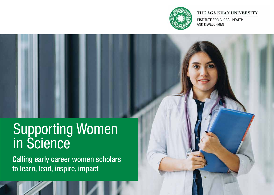

#### THE AGA KHAN UNIVERSITY

INSTITUTE FOR GLOBAL HEALTH AND DEVELOPMENT

# Supporting Women in Science

Calling early career women scholars to learn, lead, inspire, impact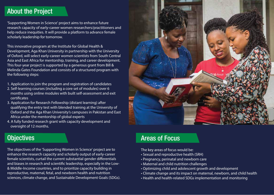## About the Project

'Supporting Women in Science' project aims to enhance future research capacity of early-career women researchers/practitioners and help reduce inequities. It will provide a platform to advance female scholarly leadership for tomorrow.

This innovative program at the Institute for Global Health & Development, Aga Khan University in partnership with the University of Oxford, will select early-career women scientists from South Central Asia and East Africa for mentorship, training, and career development. This four-year project is supported by a generous grant from Bill & Melinda Gates Foundation and consists of a structured program with the following steps:

- 1. Application to join the program and registration of candidates
- 2. Self-learning courses (including a core set of modules) over 6 months using online modules with built self-assessment and exit certificates
- 3. Application for Research Fellowship (distant learning) after qualifying the entry test with blended training at the University of Oxford and the Aga Khan University's campuses in Pakistan and East Africa under the mentorship of global experts
- 4. A fully funded research grant with capacity development and oversight of 12 months.

## **Objectives**

The objectives of the 'Supporting Women in Science' project are to enhance the research capacity and scholarly output of early-career female scientists, curtail the current substantial gender differentials and biases in research and scientific leadership, especially in the Low-& Middle-Income countries, and to prioritize capacity building in reproductive, maternal, fetal, and newborn health and nutrition sciences, climate change, and Sustainable Development Goals (SDGs).



# Areas of Focus

The key areas of focus would be:

- Sexual and reproductive health (SRH)
- Pregnancy, perinatal and newborn care
- Maternal and child nutrition challenges
- Optimizing child and adolescent growth and development
- Climate change and its impact on maternal, newborn, and child health
- Health and health-related SDGs implementation and monitoring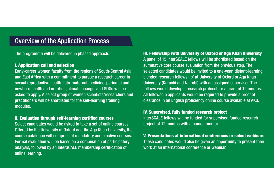## Overview of the Application Process

The programme will be delivered in phased approach:

#### I. Application call and selection

Early-career women faculty from the regions of South-Central Asia and East Africa with a commitment to pursue a research career in sexual reproductive health, feto-maternal medicine, perinatal and newborn health and nutrition, climate change, and SDGs will be asked to apply. A select group of women scientists/researchers and practitioners will be shortlisted for the self-learning training modules.

#### II. Evaluation through self-learning certified courses

Select candidates would be asked to take a set of online courses. Offered by the University of Oxford and the Aga Khan University, the course catalogue will comprise of mandatory and elective courses. Formal evaluation will be based on a combination of participatory analysis, followed by an InterSCALE membership certification of online learning.

### III. Fellowship with University of Oxford or Aga Khan University A panel of 15 InterSCALE fellows will be shortlisted based on the summative core course evaluation from the previous step. The selected candidates would be invited to a one-year 'distant-learning blended research fellowship' at University of Oxford or Aga Khan University (Karachi and Nairobi) with an assigned supervisor. The fellows would develop a research protocol for a grant of 12 months. All fellowship applicants would be required to provide a proof of clearance in an English proficiency online course available at AKU.

#### IV. Supervised, fully funded research project

InterSCALE fellows will be funded for supervised funded research project of 12 months with a named mentor.

#### V. Presentations at international conferences or select webinars These candidates would also be given an opportunity to present their

work at an international conference or webinar.